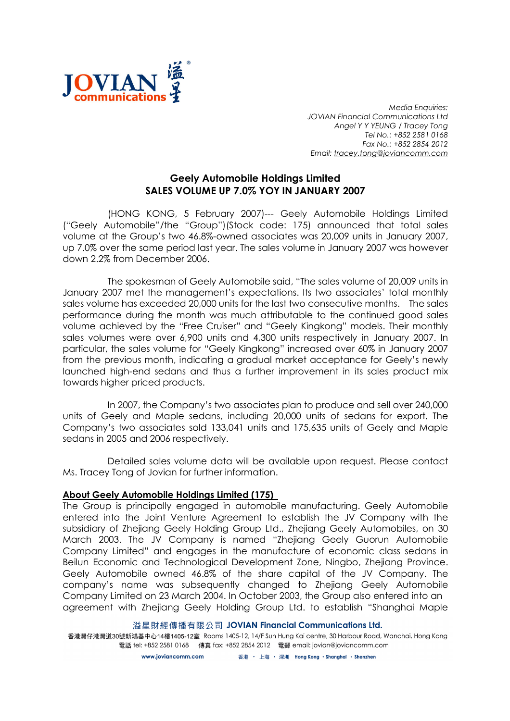

Media Enquiries: JOVIAN Financial Communications Ltd Angel Y Y YEUNG / Tracey Tong Tel No.: +852 2581 0168 Fax No.: +852 2854 2012 Email: tracey.tong@joviancomm.com

## Geely Automobile Holdings Limited SALES VOLUME UP 7.0% YOY IN JANUARY 2007

(HONG KONG, 5 February 2007)--- Geely Automobile Holdings Limited ("Geely Automobile"/the "Group")(Stock code: 175) announced that total sales volume at the Group's two 46.8%-owned associates was 20,009 units in January 2007, up 7.0% over the same period last year. The sales volume in January 2007 was however down 2.2% from December 2006.

The spokesman of Geely Automobile said, "The sales volume of 20,009 units in January 2007 met the management's expectations. Its two associates' total monthly sales volume has exceeded 20,000 units for the last two consecutive months. The sales performance during the month was much attributable to the continued good sales volume achieved by the "Free Cruiser" and "Geely Kingkong" models. Their monthly sales volumes were over 6,900 units and 4,300 units respectively in January 2007. In particular, the sales volume for "Geely Kingkong" increased over 60% in January 2007 from the previous month, indicating a gradual market acceptance for Geely's newly launched high-end sedans and thus a further improvement in its sales product mix towards higher priced products.

In 2007, the Company's two associates plan to produce and sell over 240,000 units of Geely and Maple sedans, including 20,000 units of sedans for export. The Company's two associates sold 133,041 units and 175,635 units of Geely and Maple sedans in 2005 and 2006 respectively.

Detailed sales volume data will be available upon request. Please contact Ms. Tracey Tong of Jovian for further information.

## About Geely Automobile Holdings Limited (175)

The Group is principally engaged in automobile manufacturing. Geely Automobile entered into the Joint Venture Agreement to establish the JV Company with the subsidiary of Zhejiang Geely Holding Group Ltd., Zhejiang Geely Automobiles, on 30 March 2003. The JV Company is named "Zhejiang Geely Guorun Automobile Company Limited" and engages in the manufacture of economic class sedans in Beilun Economic and Technological Development Zone, Ningbo, Zhejiang Province. Geely Automobile owned 46.8% of the share capital of the JV Company. The company's name was subsequently changed to Zhejiang Geely Automobile Company Limited on 23 March 2004. In October 2003, the Group also entered into an agreement with Zhejiang Geely Holding Group Ltd. to establish "Shanghai Maple

## 溢星財經傳播有限公司 JOVIAN Financial Communications Ltd.

香港灣仔港灣道30號新鴻基中心14樓1405-12室 Rooms 1405-12, 14/F Sun Hung Kai centre, 30 Harbour Road, Wanchai, Hong Kong 電話 tel: +852 2581 0168 傳真 fax: +852 2854 2012 電郵 email: jovian@joviancomm.com